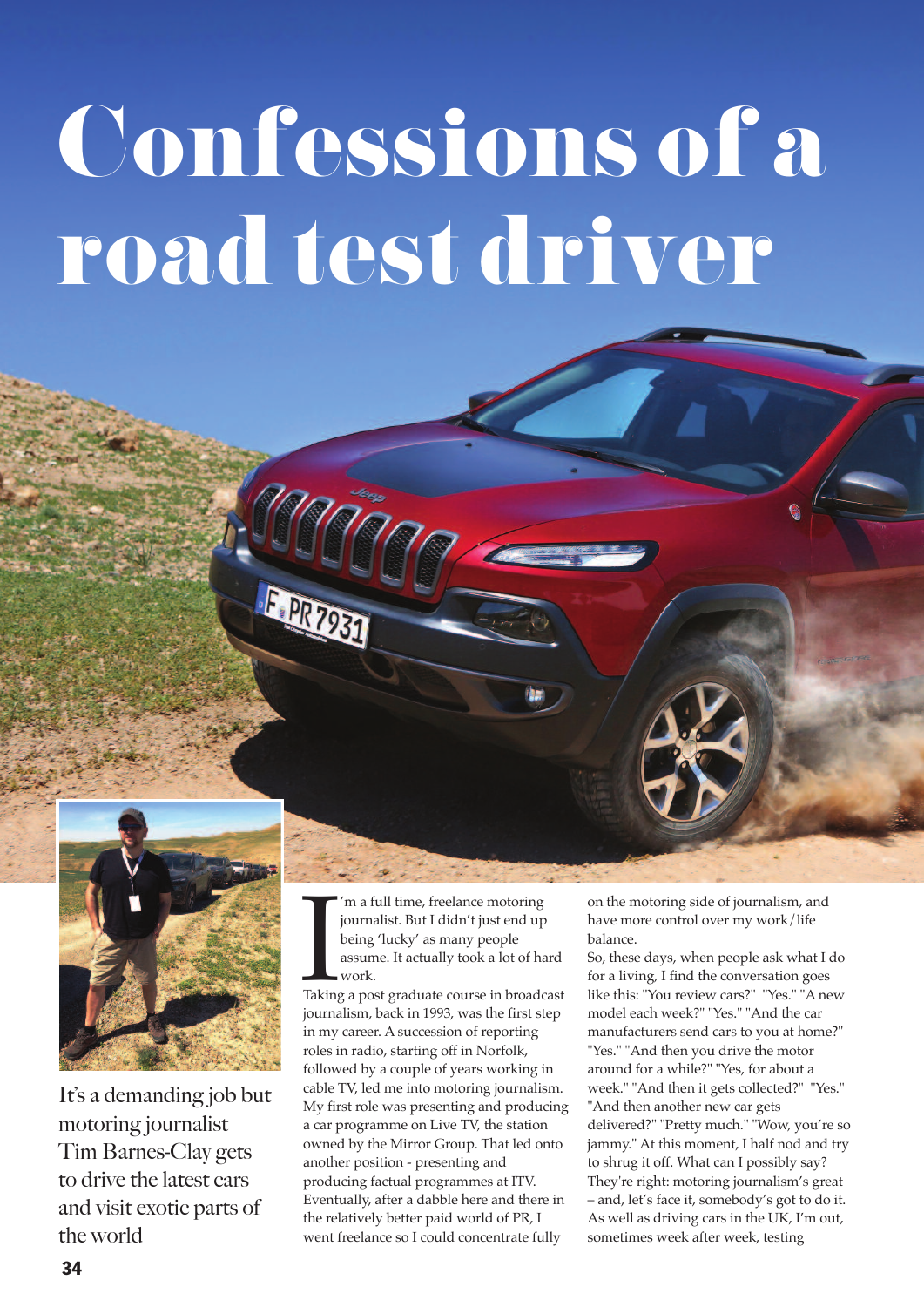## **Confessions of a road test driver**



It's a demanding job but motoring journalist Tim Barnes-Clay gets to drive the latest cars and visit exotic parts of the world

I'm a full time, freelance motoring<br>journalist. But I didn't just end up<br>being 'lucky' as many people<br>assume. It actually took a lot of hard<br>work.<br>Taking a post graduate course in broadcast 'm a full time, freelance motoring journalist. But I didn't just end up being 'lucky' as many people assume. It actually took a lot of hard work.

journalism, back in 1993, was the first step in my career. A succession of reporting roles in radio, starting off in Norfolk, followed by a couple of years working in cable TV, led me into motoring journalism. My first role was presenting and producing a car programme on Live TV, the station owned by the Mirror Group. That led onto another position - presenting and producing factual programmes at ITV. Eventually, after a dabble here and there in the relatively better paid world of PR, I went freelance so I could concentrate fully

on the motoring side of journalism, and have more control over my work/life balance.

So, these days, when people ask what I do for a living, I find the conversation goes like this: "You review cars?" "Yes." "A new model each week?" "Yes." "And the car manufacturers send cars to you at home?" "Yes." "And then you drive the motor around for a while?" "Yes, for about a week." "And then it gets collected?" "Yes." "And then another new car gets delivered?" "Pretty much." "Wow, you're so jammy." At this moment, I half nod and try to shrug it off. What can I possibly say? They're right: motoring journalism's great – and, let's face it, somebody's got to do it. As well as driving cars in the UK, I'm out, sometimes week after week, testing